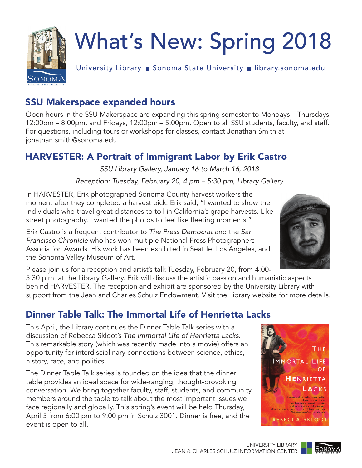

# What's New: Spring 2018

University Library Bonoma State University Bulbrary.sonoma.edu

## SSU Makerspace expanded hours

Open hours in the SSU Makerspace are expanding this spring semester to Mondays – Thursdays, 12:00pm – 8:00pm, and Fridays, 12:00pm – 5:00pm. Open to all SSU students, faculty, and staff. For questions, including tours or workshops for classes, contact Jonathan Smith at jonathan.smith@sonoma.edu.

## HARVESTER: A Portrait of Immigrant Labor by Erik Castro

*SSU Library Gallery, January 16 to March 16, 2018*

*Reception: Tuesday, February 20, 4 pm – 5:30 pm, Library Gallery*

In HARVESTER, Erik photographed Sonoma County harvest workers the moment after they completed a harvest pick. Erik said, "I wanted to show the individuals who travel great distances to toil in California's grape harvests. Like street photography, I wanted the photos to feel like fleeting moments."

Erik Castro is a frequent contributor to *The Press Democrat* and the *San Francisco Chronicle* who has won multiple National Press Photographers Association Awards. His work has been exhibited in Seattle, Los Angeles, and the Sonoma Valley Museum of Art.

Please join us for a reception and artist's talk Tuesday, February 20, from 4:00-

5:30 p.m. at the Library Gallery. Erik will discuss the artistic passion and humanistic aspects behind HARVESTER. The reception and exhibit are sponsored by the University Library with support from the Jean and Charles Schulz Endowment. Visit the Library website for more details.

## Dinner Table Talk: The Immortal Life of Henrietta Lacks

This April, the Library continues the Dinner Table Talk series with a discussion of Rebecca Skloot's *The Immortal Life of Henrietta Lacks*. This remarkable story (which was recently made into a movie) offers an opportunity for interdisciplinary connections between science, ethics, history, race, and politics.

The Dinner Table Talk series is founded on the idea that the dinner table provides an ideal space for wide-ranging, thought-provoking conversation. We bring together faculty, staff, students, and community members around the table to talk about the most important issues we face regionally and globally. This spring's event will be held Thursday, April 5 from 6:00 pm to 9:00 pm in Schulz 3001. Dinner is free, and the event is open to all.







SONOM